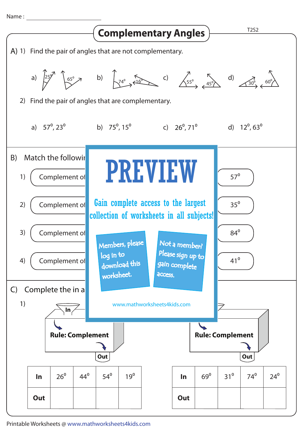